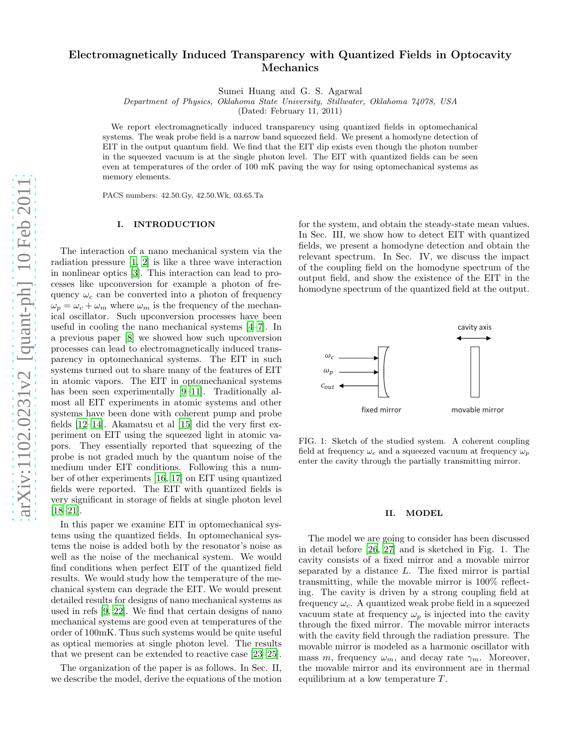# Electromagnetically Induced Transparency with Quantized Fields in Optocavity Mechanics

Sumei Huang and G. S. Agarwal

Department of Physics, Oklahoma State University, Stillwater, Oklahoma 74078, USA

(Dated: February 11, 2011)

We report electromagnetically induced transparency using quantized fields in optomechanical systems. The weak probe field is a narrow band squeezed field. We present a homodyne detection of EIT in the output quantum field. We find that the EIT dip exists even though the photon number in the squeezed vacuum is at the single photon level. The EIT with quantized fields can be seen even at temperatures of the order of 100 mK paving the way for using optomechanical systems as memory elements.

PACS numbers: 42.50.Gy, 42.50.Wk, 03.65.Ta

#### I. INTRODUCTION

The interaction of a nano mechanical system via the radiation pressure [\[1,](#page-4-0) [2](#page-4-1)] is like a three wave interaction in nonlinear optics [\[3](#page-4-2)]. This interaction can lead to processes like upconversion for example a photon of frequency  $\omega_c$  can be converted into a photon of frequency  $\omega_p = \omega_c + \omega_m$  where  $\omega_m$  is the frequency of the mechanical oscillator. Such upconversion processes have been useful in cooling the nano mechanical systems [\[4](#page-4-3)[–7\]](#page-4-4). In a previous paper [\[8](#page-4-5)] we showed how such upconversion processes can lead to electromagnetically induced transparency in optomechanical systems. The EIT in such systems turned out to share many of the features of EIT in atomic vapors. The EIT in optomechanical systems has been seen experimentally [\[9](#page-5-0)[–11\]](#page-5-1). Traditionally almost all EIT experiments in atomic systems and other systems have been done with coherent pump and probe fields [\[12](#page-5-2)[–14\]](#page-5-3). Akamatsu et al [\[15\]](#page-5-4) did the very first experiment on EIT using the squeezed light in atomic vapors. They essentially reported that squeezing of the probe is not graded much by the quantum noise of the medium under EIT conditions. Following this a number of other experiments [\[16,](#page-5-5) [17\]](#page-5-6) on EIT using quantized fields were reported. The EIT with quantized fields is very significant in storage of fields at single photon level [\[18](#page-5-7)[–21\]](#page-5-8).

In this paper we examine EIT in optomechanical systems using the quantized fields. In optomechanical systems the noise is added both by the resonator's noise as well as the noise of the mechanical system. We would find conditions when perfect EIT of the quantized field results. We would study how the temperature of the mechanical system can degrade the EIT. We would present detailed results for designs of nano mechanical systems as used in refs [\[9,](#page-5-0) [22\]](#page-5-9). We find that certain designs of nano mechanical systems are good even at temperatures of the order of 100mK. Thus such systems would be quite useful as optical memories at single photon level. The results that we present can be extended to reactive case [\[23](#page-5-10)[–25\]](#page-5-11).

The organization of the paper is as follows. In Sec. II, we describe the model, derive the equations of the motion

for the system, and obtain the steady-state mean values. In Sec. III, we show how to detect EIT with quantized fields, we present a homodyne detection and obtain the relevant spectrum. In Sec. IV, we discuss the impact of the coupling field on the homodyne spectrum of the output field, and show the existence of the EIT in the homodyne spectrum of the quantized field at the output.



FIG. 1: Sketch of the studied system. A coherent coupling field at frequency  $\omega_c$  and a squeezed vacuum at frequency  $\omega_p$ enter the cavity through the partially transmitting mirror.

### II. MODEL

The model we are going to consider has been discussed in detail before [\[26,](#page-5-12) [27](#page-5-13)] and is sketched in Fig. 1. The cavity consists of a fixed mirror and a movable mirror separated by a distance L. The fixed mirror is partial transmitting, while the movable mirror is 100% reflecting. The cavity is driven by a strong coupling field at frequency  $\omega_c$ . A quantized weak probe field in a squeezed vacuum state at frequency  $\omega_p$  is injected into the cavity through the fixed mirror. The movable mirror interacts with the cavity field through the radiation pressure. The movable mirror is modeled as a harmonic oscillator with mass m, frequency  $\omega_m$ , and decay rate  $\gamma_m$ . Moreover, the movable mirror and its environment are in thermal equilibrium at a low temperature  $T$ .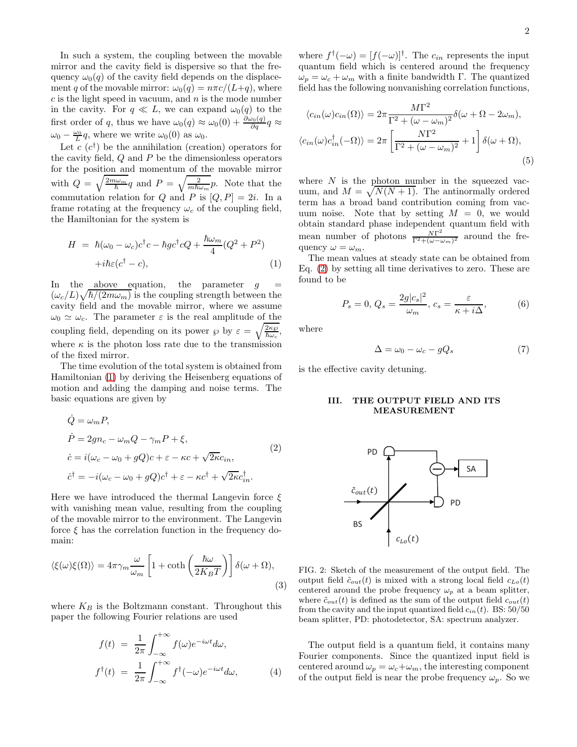In such a system, the coupling between the movable mirror and the cavity field is dispersive so that the frequency  $\omega_0(q)$  of the cavity field depends on the displacement q of the movable mirror:  $\omega_0(q) = n\pi c/(L+q)$ , where  $c$  is the light speed in vacuum, and  $n$  is the mode number in the cavity. For  $q \ll L$ , we can expand  $\omega_0(q)$  to the first order of q, thus we have  $\omega_0(q) \approx \omega_0(0) + \frac{\partial \omega_0(q)}{\partial q} q \approx$  $\omega_0 - \frac{\omega_0}{L} q$ , where we write  $\omega_0(0)$  as  $\omega_0$ .

Let  $c(c^{\dagger})$  be the annihilation (creation) operators for the cavity field, Q and P be the dimensionless operators for the position and momentum of the movable mirror with  $Q = \sqrt{\frac{2m\omega_m}{\hbar}}q$  and  $P = \sqrt{\frac{2}{m\hbar\omega_m}}p$ . Note that the commutation relation for Q and P is  $[Q, P] = 2i$ . In a frame rotating at the frequency  $\omega_c$  of the coupling field. the Hamiltonian for the system is

<span id="page-1-0"></span>
$$
H = \hbar(\omega_0 - \omega_c)c^{\dagger}c - \hbar gc^{\dagger}cQ + \frac{\hbar\omega_m}{4}(Q^2 + P^2) + i\hbar\varepsilon(c^{\dagger} - c),
$$
\n(1)

In the above equation, the parameter  $q$  $(\omega_c/L)\sqrt{\hbar/(2m\omega_m)}$  is the coupling strength between the cavity field and the movable mirror, where we assume  $\omega_0 \simeq \omega_c$ . The parameter  $\varepsilon$  is the real amplitude of the coupling field, depending on its power  $\wp$  by  $\varepsilon = \sqrt{\frac{2\kappa\wp}{\hbar\omega_c}}$ , where  $\kappa$  is the photon loss rate due to the transmission of the fixed mirror.

The time evolution of the total system is obtained from Hamiltonian [\(1\)](#page-1-0) by deriving the Heisenberg equations of motion and adding the damping and noise terms. The basic equations are given by

<span id="page-1-1"></span>
$$
\dot{Q} = \omega_m P,
$$
  
\n
$$
\dot{P} = 2gn_c - \omega_m Q - \gamma_m P + \xi,
$$
  
\n
$$
\dot{c} = i(\omega_c - \omega_0 + gQ)c + \varepsilon - \kappa c + \sqrt{2\kappa}c_{in},
$$
  
\n
$$
\dot{c}^{\dagger} = -i(\omega_c - \omega_0 + gQ)c^{\dagger} + \varepsilon - \kappa c^{\dagger} + \sqrt{2\kappa}c_{in}^{\dagger}.
$$
\n(2)

Here we have introduced the thermal Langevin force  $\xi$ with vanishing mean value, resulting from the coupling of the movable mirror to the environment. The Langevin force  $\xi$  has the correlation function in the frequency domain:

$$
\langle \xi(\omega)\xi(\Omega) \rangle = 4\pi \gamma_m \frac{\omega}{\omega_m} \left[ 1 + \coth\left(\frac{\hbar \omega}{2K_B T}\right) \right] \delta(\omega + \Omega),\tag{3}
$$

where  $K_B$  is the Boltzmann constant. Throughout this paper the following Fourier relations are used

<span id="page-1-2"></span>
$$
f(t) = \frac{1}{2\pi} \int_{-\infty}^{+\infty} f(\omega)e^{-i\omega t} d\omega,
$$
  

$$
f^{\dagger}(t) = \frac{1}{2\pi} \int_{-\infty}^{+\infty} f^{\dagger}(-\omega)e^{-i\omega t} d\omega,
$$
 (4)

where  $f^{\dagger}(-\omega) = [f(-\omega)]^{\dagger}$ . The  $c_{in}$  represents the input quantum field which is centered around the frequency  $\omega_p = \omega_c + \omega_m$  with a finite bandwidth Γ. The quantized field has the following nonvanishing correlation functions,

$$
\langle c_{in}(\omega)c_{in}(\Omega)\rangle = 2\pi \frac{M\Gamma^2}{\Gamma^2 + (\omega - \omega_m)^2} \delta(\omega + \Omega - 2\omega_m),
$$
  

$$
\langle c_{in}(\omega)c_{in}^{\dagger}(-\Omega)\rangle = 2\pi \left[\frac{N\Gamma^2}{\Gamma^2 + (\omega - \omega_m)^2} + 1\right] \delta(\omega + \Omega),
$$
  
(5)

where  $N$  is the photon number in the squeezed vacuum, and  $M = \sqrt{N(N+1)}$ . The antinormally ordered term has a broad band contribution coming from vacuum noise. Note that by setting  $M = 0$ , we would obtain standard phase independent quantum field with mean number of photons  $\frac{N\Gamma^2}{\Gamma^2 + (\omega - \omega)}$  $\frac{N}{\Gamma^2 + (\omega - \omega_m)^2}$  around the frequency  $\omega = \omega_m$ .

The mean values at steady state can be obtained from Eq. [\(2\)](#page-1-1) by setting all time derivatives to zero. These are found to be

$$
P_s = 0, Q_s = \frac{2g|c_s|^2}{\omega_m}, c_s = \frac{\varepsilon}{\kappa + i\Delta}, \tag{6}
$$

where

$$
\Delta = \omega_0 - \omega_c - gQ_s \tag{7}
$$

is the effective cavity detuning.

## III. THE OUTPUT FIELD AND ITS MEASUREMENT



<span id="page-1-3"></span>FIG. 2: Sketch of the measurement of the output field. The output field  $\tilde{c}_{out}(t)$  is mixed with a strong local field  $c_{Lo}(t)$ centered around the probe frequency  $\omega_p$  at a beam splitter, where  $\tilde{c}_{out}(t)$  is defined as the sum of the output field  $c_{out}(t)$ from the cavity and the input quantized field  $c_{in}(t)$ . BS: 50/50 beam splitter, PD: photodetector, SA: spectrum analyzer.

The output field is a quantum field, it contains many Fourier components. Since the quantized input field is centered around  $\omega_p = \omega_c + \omega_m$ , the interesting component of the output field is near the probe frequency  $\omega_p$ . So we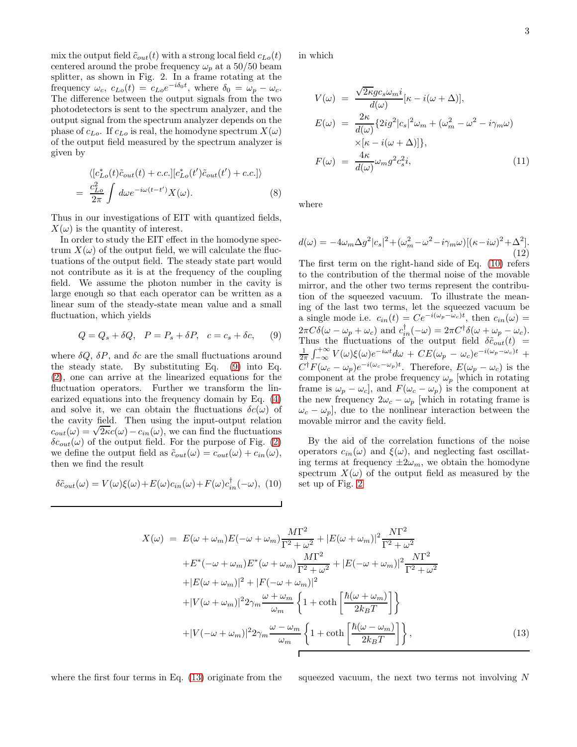mix the output field  $\tilde{c}_{out}(t)$  with a strong local field  $c_{Lo}(t)$ centered around the probe frequency  $\omega_p$  at a 50/50 beam splitter, as shown in Fig. 2. In a frame rotating at the frequency  $\omega_c$ ,  $c_{Lo}(t) = c_{Lo}e^{-i\delta_0 t}$ , where  $\delta_0 = \omega_p - \omega_c$ . The difference between the output signals from the two photodetectors is sent to the spectrum analyzer, and the output signal from the spectrum analyzer depends on the phase of  $c_{Lo}$ . If  $c_{Lo}$  is real, the homodyne spectrum  $X(\omega)$ of the output field measured by the spectrum analyzer is given by

$$
\langle [c_{Lo}^*(t)\tilde{c}_{out}(t) + c.c.] [c_{Lo}^*(t')\tilde{c}_{out}(t') + c.c.] \rangle
$$
  
= 
$$
\frac{c_{Lo}^2}{2\pi} \int d\omega e^{-i\omega(t-t')} X(\omega).
$$
 (8)

Thus in our investigations of EIT with quantized fields,  $X(\omega)$  is the quantity of interest.

In order to study the EIT effect in the homodyne spectrum  $X(\omega)$  of the output field, we will calculate the fluctuations of the output field. The steady state part would not contribute as it is at the frequency of the coupling field. We assume the photon number in the cavity is large enough so that each operator can be written as a linear sum of the steady-state mean value and a small fluctuation, which yields

<span id="page-2-0"></span>
$$
Q = Q_s + \delta Q, \quad P = P_s + \delta P, \quad c = c_s + \delta c, \tag{9}
$$

where  $\delta Q$ ,  $\delta P$ , and  $\delta c$  are the small fluctuations around the steady state. By substituting Eq. [\(9\)](#page-2-0) into Eq. [\(2\)](#page-1-1), one can arrive at the linearized equations for the fluctuation operators. Further we transform the linearized equations into the frequency domain by Eq. [\(4\)](#page-1-2) and solve it, we can obtain the fluctuations  $\delta c(\omega)$  of the cavity field. Then using the input-output relation court( $\omega$ ) =  $\sqrt{2\kappa}c(\omega) - c_{in}(\omega)$ , we can find the fluctuations  $\delta c_{out}(\omega)$  of the output field. For the purpose of Fig. [\(2\)](#page-1-3) we define the output field as  $\tilde{c}_{out}(\omega) = c_{out}(\omega) + c_{in}(\omega)$ , then we find the result

<span id="page-2-1"></span>
$$
\delta \tilde{c}_{out}(\omega) = V(\omega)\xi(\omega) + E(\omega)c_{in}(\omega) + F(\omega)c_{in}^{\dagger}(-\omega), \tag{10}
$$

in which

$$
V(\omega) = \frac{\sqrt{2\kappa}gc_s\omega_m i}{d(\omega)}[\kappa - i(\omega + \Delta)],
$$
  
\n
$$
E(\omega) = \frac{2\kappa}{d(\omega)} \{2ig^2|c_s|^2\omega_m + (\omega_m^2 - \omega^2 - i\gamma_m\omega)
$$
  
\n
$$
\times [\kappa - i(\omega + \Delta)]\},
$$
  
\n
$$
F(\omega) = \frac{4\kappa}{d(\omega)}\omega_m g^2 c_s^2 i,
$$
\n(11)

where

$$
d(\omega) = -4\omega_m \Delta g^2 |c_s|^2 + (\omega_m^2 - \omega^2 - i\gamma_m \omega)[(\kappa - i\omega)^2 + \Delta^2].
$$
\n(12)

The first term on the right-hand side of Eq. [\(10\)](#page-2-1) refers to the contribution of the thermal noise of the movable mirror, and the other two terms represent the contribution of the squeezed vacuum. To illustrate the meaning of the last two terms, let the squeezed vacuum be a single mode i.e.  $c_{in}(t) = Ce^{-i(\omega_p - \omega_c)t}$ , then  $c_{in}(\omega) =$  $2\pi C\delta(\omega-\omega_p+\omega_c)$  and  $c_{in}^{\dagger}(-\omega)=2\pi C^{\dagger}\delta(\omega+\omega_p-\omega_c)$ . Thus the fluctuations of the output field  $\delta \tilde{c}_{out}(t)$  =  $\frac{1}{2\pi} \int_{-\infty}^{+\infty} V(\omega) \xi(\omega) e^{-i\omega t} d\omega + CE(\omega_p - \omega_c) e^{-i(\omega_p - \omega_c)t} +$  $C^{\dagger}F(\omega_c - \omega_p)e^{-i(\omega_c - \omega_p)t}$ . Therefore,  $E(\omega_p - \omega_c)$  is the component at the probe frequency  $\omega_p$  [which in rotating frame is  $\omega_p - \omega_c$ , and  $F(\omega_c - \omega_p)$  is the component at the new frequency  $2\omega_c - \omega_p$  [which in rotating frame is  $\omega_c - \omega_p$ , due to the nonlinear interaction between the movable mirror and the cavity field.

By the aid of the correlation functions of the noise operators  $c_{in}(\omega)$  and  $\xi(\omega)$ , and neglecting fast oscillating terms at frequency  $\pm 2\omega_m$ , we obtain the homodyne spectrum  $X(\omega)$  of the output field as measured by the set up of Fig. [2](#page-1-3)

<span id="page-2-2"></span>
$$
X(\omega) = E(\omega + \omega_m)E(-\omega + \omega_m)\frac{M\Gamma^2}{\Gamma^2 + \omega^2} + |E(\omega + \omega_m)|^2 \frac{N\Gamma^2}{\Gamma^2 + \omega^2}
$$
  
+E<sup>\*</sup>(-\omega + \omega\_m)E<sup>\*</sup>(\omega + \omega\_m)\frac{M\Gamma^2}{\Gamma^2 + \omega^2} + |E(-\omega + \omega\_m)|^2 \frac{N\Gamma^2}{\Gamma^2 + \omega^2}  
+|E(\omega + \omega\_m)|^2 + |F(-\omega + \omega\_m)|^2  
+|V(\omega + \omega\_m)|^2 2\gamma\_m \frac{\omega + \omega\_m}{\omega\_m} \left\{1 + \coth\left[\frac{\hbar(\omega + \omega\_m)}{2k\_BT}\right]\right\}  
+|V(-\omega + \omega\_m)|^2 2\gamma\_m \frac{\omega - \omega\_m}{\omega\_m} \left\{1 + \coth\left[\frac{\hbar(\omega - \omega\_m)}{2k\_BT}\right]\right\},(13)

where the first four terms in Eq.  $(13)$  originate from the squeezed vacuum, the next two terms not involving N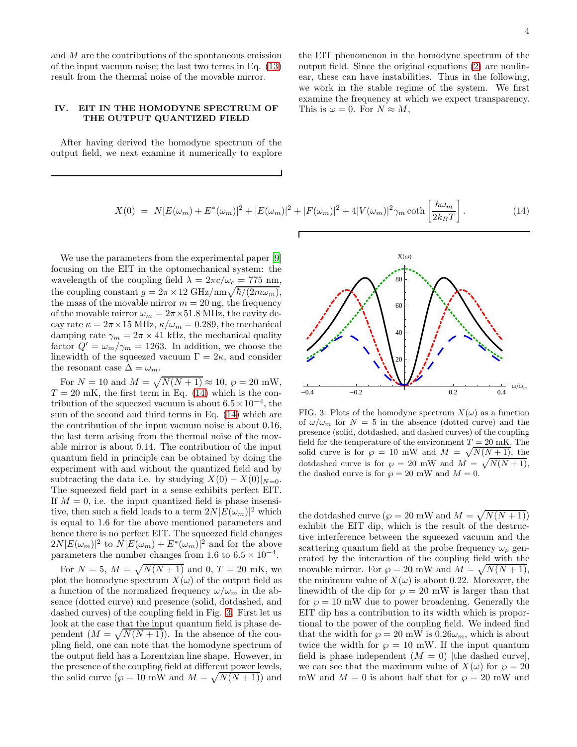and M are the contributions of the spontaneous emission of the input vacuum noise; the last two terms in Eq. [\(13\)](#page-2-2) result from the thermal noise of the movable mirror.

## IV. EIT IN THE HOMODYNE SPECTRUM OF THE OUTPUT QUANTIZED FIELD

After having derived the homodyne spectrum of the output field, we next examine it numerically to explore the EIT phenomenon in the homodyne spectrum of the output field. Since the original equations [\(2\)](#page-1-1) are nonlinear, these can have instabilities. Thus in the following, we work in the stable regime of the system. We first examine the frequency at which we expect transparency. This is  $\omega = 0$ . For  $N \approx M$ ,

<span id="page-3-0"></span>
$$
X(0) = N[E(\omega_m) + E^*(\omega_m)]^2 + |E(\omega_m)|^2 + |F(\omega_m)|^2 + 4|V(\omega_m)|^2 \gamma_m \coth\left[\frac{\hbar\omega_m}{2k_BT}\right].
$$
 (14)

We use the parameters from the experimental paper [\[9](#page-5-0)] focusing on the EIT in the optomechanical system: the wavelength of the coupling field  $\lambda = 2\pi c/\omega_c = 775$  nm, the coupling constant  $g = 2\pi \times 12 \text{ GHz/nm} \sqrt{\hbar/(2m\omega_m)}$ , the mass of the movable mirror  $m = 20$  ng, the frequency of the movable mirror  $\omega_m = 2\pi \times 51.8$  MHz, the cavity decay rate  $\kappa = 2\pi \times 15$  MHz,  $\kappa/\omega_m = 0.289$ , the mechanical damping rate  $\gamma_m = 2\pi \times 41$  kHz, the mechanical quality factor  $Q' = \omega_m / \gamma_m = 1263$ . In addition, we choose the linewidth of the squeezed vacuum  $\Gamma = 2\kappa$ , and consider the resonant case  $\Delta = \omega_m$ .

For  $N = 10$  and  $M = \sqrt{N(N + 1)} \approx 10$ ,  $\wp = 20$  mW,  $T = 20$  mK, the first term in Eq. [\(14\)](#page-3-0) which is the contribution of the squeezed vacuum is about  $6.5 \times 10^{-4}$ , the sum of the second and third terms in Eq. [\(14\)](#page-3-0) which are the contribution of the input vacuum noise is about 0.16, the last term arising from the thermal noise of the movable mirror is about 0.14. The contribution of the input quantum field in principle can be obtained by doing the experiment with and without the quantized field and by subtracting the data i.e. by studying  $X(0) - X(0)|_{N=0}$ . The squeezed field part in a sense exhibits perfect EIT. If  $M = 0$ , i.e. the input quantized field is phase insensitive, then such a field leads to a term  $2N|E(\omega_m)|^2$  which is equal to 1.6 for the above mentioned parameters and hence there is no perfect EIT. The squeezed field changes  $2N|E(\omega_m)|^2$  to  $N[E(\omega_m) + E^*(\omega_m)]^2$  and for the above parameters the number changes from 1.6 to  $6.5 \times 10^{-4}$ .

For  $N = 5, M = \sqrt{N(N+1)}$  and 0,  $T = 20$  mK, we plot the homodyne spectrum  $X(\omega)$  of the output field as a function of the normalized frequency  $\omega/\omega_m$  in the absence (dotted curve) and presence (solid, dotdashed, and dashed curves) of the coupling field in Fig. [3.](#page-3-1) First let us look at the case that the input quantum field is phase dependent  $(M = \sqrt{N(N+1)})$ . In the absence of the coupling field, one can note that the homodyne spectrum of the output field has a Lorentzian line shape. However, in the presence of the coupling field at different power levels, the solid curve  $(\wp = 10 \text{ mW} \text{ and } M = \sqrt{N(N+1)} )$  and



<span id="page-3-1"></span>FIG. 3: Plots of the homodyne spectrum  $X(\omega)$  as a function of  $\omega/\omega_m$  for  $N = 5$  in the absence (dotted curve) and the presence (solid, dotdashed, and dashed curves) of the coupling field for the temperature of the environment  $T = 20$  mK. The solid curve is for  $\wp = 10$  mW and  $M = \sqrt{N(N+1)}$ , the dotdashed curve is for  $\wp = 20$  mW and  $M = \sqrt{N(N+1)}$ , the dashed curve is for  $\wp = 20$  mW and  $M = 0$ .

the dotdashed curve  $(\wp = 20 \text{ mW and } M = \sqrt{N(N+1)})$ exhibit the EIT dip, which is the result of the destructive interference between the squeezed vacuum and the scattering quantum field at the probe frequency  $\omega_p$  generated by the interaction of the coupling field with the movable mirror. For  $\wp = 20$  mW and  $M = \sqrt{N(N+1)}$ , the minimum value of  $X(\omega)$  is about 0.22. Moreover, the linewidth of the dip for  $\wp = 20$  mW is larger than that for  $\wp = 10$  mW due to power broadening. Generally the EIT dip has a contribution to its width which is proportional to the power of the coupling field. We indeed find that the width for  $\wp = 20$  mW is  $0.26\omega_m$ , which is about twice the width for  $\wp = 10$  mW. If the input quantum field is phase independent  $(M = 0)$  [the dashed curve], we can see that the maximum value of  $X(\omega)$  for  $\wp = 20$ mW and  $M = 0$  is about half that for  $\wp = 20$  mW and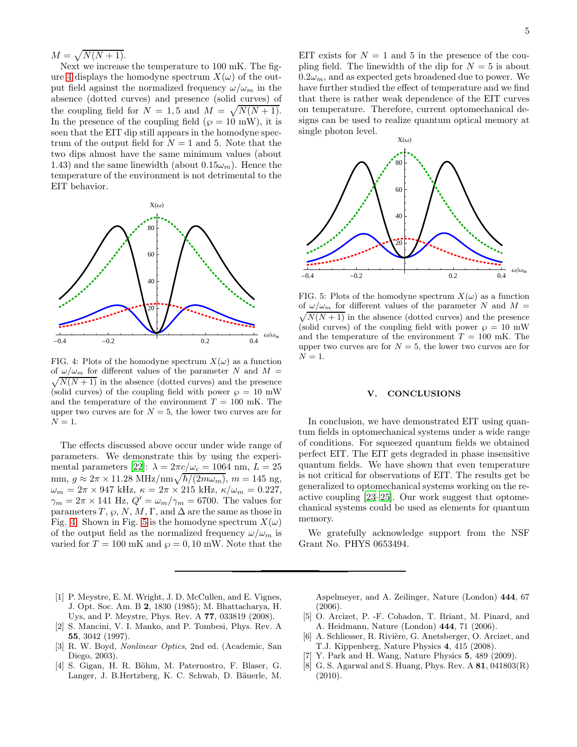$M=\sqrt{N(N+1)}.$ 

Next we increase the temperature to 100 mK. The fig-ure [4](#page-4-6) displays the homodyne spectrum  $X(\omega)$  of the output field against the normalized frequency  $\omega/\omega_m$  in the absence (dotted curves) and presence (solid curves) of the coupling field for  $N = 1, 5$  and  $M = \sqrt{N(N+1)}$ . In the presence of the coupling field ( $\varphi = 10$  mW), it is seen that the EIT dip still appears in the homodyne spectrum of the output field for  $N = 1$  and 5. Note that the two dips almost have the same minimum values (about 1.43) and the same linewidth (about  $0.15\omega_m$ ). Hence the temperature of the environment is not detrimental to the EIT behavior.



<span id="page-4-6"></span>FIG. 4: Plots of the homodyne spectrum  $X(\omega)$  as a function  $\sqrt{N(N+1)}$  in the absence (dotted curves) and the presence of  $\omega/\omega_m$  for different values of the parameter N and  $M =$ (solid curves) of the coupling field with power  $\wp = 10$  mW and the temperature of the environment  $T = 100$  mK. The upper two curves are for  $N = 5$ , the lower two curves are for  $N=1$ .

The effects discussed above occur under wide range of parameters. We demonstrate this by using the experi-mental parameters [\[22\]](#page-5-9):  $\lambda = 2\pi c/\omega_c = 1064$  nm,  $L = 25$ mm,  $g \approx 2\pi \times 11.28 \text{ MHz/nm} \sqrt{\hbar/(2m\omega_m)}$ ,  $m = 145 \text{ ng},$  $\omega_m = 2\pi \times 947$  kHz,  $\kappa = 2\pi \times 215$  kHz,  $\kappa/\omega_m = 0.227$ ,  $\gamma_m = 2\pi \times 141$  Hz,  $Q' = \omega_m/\gamma_m = 6700$ . The values for parameters T,  $\varphi$ , N, M, Γ, and  $\Delta$  are the same as those in Fig. [4.](#page-4-6) Shown in Fig. [5](#page-4-7) is the homodyne spectrum  $X(\omega)$ of the output field as the normalized frequency  $\omega/\omega_m$  is varied for  $T = 100$  mK and  $\wp = 0, 10$  mW. Note that the

EIT exists for  $N = 1$  and 5 in the presence of the coupling field. The linewidth of the dip for  $N = 5$  is about  $0.2\omega_m$ , and as expected gets broadened due to power. We have further studied the effect of temperature and we find that there is rather weak dependence of the EIT curves on temperature. Therefore, current optomechanical designs can be used to realize quantum optical memory at single photon level.



<span id="page-4-7"></span>FIG. 5: Plots of the homodyne spectrum  $X(\omega)$  as a function  $\sqrt{N(N+1)}$  in the absence (dotted curves) and the presence of  $\omega/\omega_m$  for different values of the parameter N and  $M =$ (solid curves) of the coupling field with power  $\wp = 10$  mW and the temperature of the environment  $T = 100$  mK. The upper two curves are for  $N = 5$ , the lower two curves are for  $N=1$ .

### V. CONCLUSIONS

In conclusion, we have demonstrated EIT using quantum fields in optomechanical systems under a wide range of conditions. For squeezed quantum fields we obtained perfect EIT. The EIT gets degraded in phase insensitive quantum fields. We have shown that even temperature is not critical for observations of EIT. The results get be generalized to optomechanical systems working on the reactive coupling [\[23](#page-5-10)[–25\]](#page-5-11). Our work suggest that optomechanical systems could be used as elements for quantum memory.

We gratefully acknowledge support from the NSF Grant No. PHYS 0653494.

- <span id="page-4-0"></span>[1] P. Meystre, E. M. Wright, J. D. McCullen, and E. Vignes, J. Opt. Soc. Am. B 2, 1830 (1985); M. Bhattacharya, H. Uys, and P. Meystre, Phys. Rev. A 77, 033819 (2008).
- <span id="page-4-1"></span>[2] S. Mancini, V. I. Manko, and P. Tombesi, Phys. Rev. A 55, 3042 (1997).
- <span id="page-4-2"></span>[3] R. W. Boyd, Nonlinear Optics, 2nd ed. (Academic, San Diego, 2003).
- <span id="page-4-3"></span>[4] S. Gigan, H. R. Böhm, M. Paternostro, F. Blaser, G. Langer, J. B.Hertzberg, K. C. Schwab, D. Bäuerle, M.

Aspelmeyer, and A. Zeilinger, Nature (London) 444, 67 (2006).

- [5] O. Arcizet, P. -F. Cohadon, T. Briant, M. Pinard, and A. Heidmann, Nature (London) 444, 71 (2006).
- [6] A. Schliesser, R. Rivière, G. Anetsberger, O. Arcizet, and T.J. Kippenberg, Nature Physics 4, 415 (2008).
- <span id="page-4-4"></span>[7] Y. Park and H. Wang, Nature Physics 5, 489 (2009).
- <span id="page-4-5"></span>[8] G. S. Agarwal and S. Huang, Phys. Rev.  $A \, 81, 041803(R)$  $(2010).$